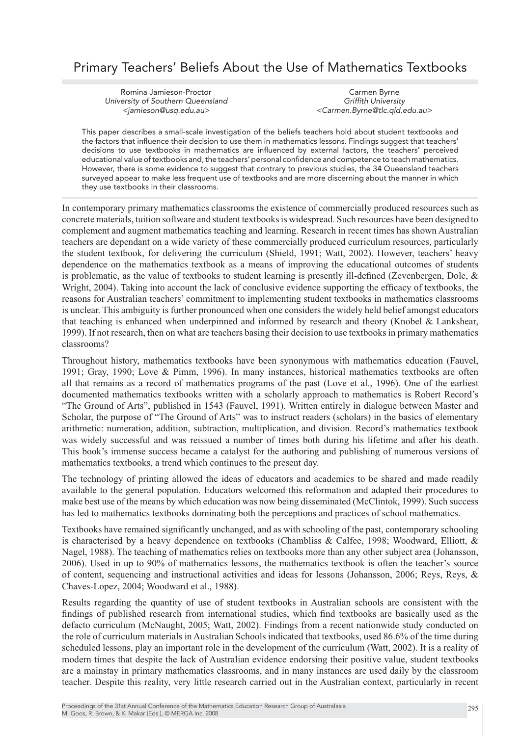# Primary Teachers' Beliefs About the Use of Mathematics Textbooks

Romina Jamieson-Proctor University of Southern Queensland <jamieson@usq.edu.au>

Carmen Byrne Griffith University <Carmen.Byrne@tlc.qld.edu.au>

This paper describes a small-scale investigation of the beliefs teachers hold about student textbooks and the factors that influence their decision to use them in mathematics lessons. Findings suggest that teachers' decisions to use textbooks in mathematics are influenced by external factors, the teachers' perceived educational value of textbooks and, the teachers' personal confidence and competence to teach mathematics. However, there is some evidence to suggest that contrary to previous studies, the 34 Queensland teachers surveyed appear to make less frequent use of textbooks and are more discerning about the manner in which they use textbooks in their classrooms.

In contemporary primary mathematics classrooms the existence of commercially produced resources such as concrete materials, tuition software and student textbooks is widespread. Such resources have been designed to complement and augment mathematics teaching and learning. Research in recent times has shown Australian teachers are dependant on a wide variety of these commercially produced curriculum resources, particularly the student textbook, for delivering the curriculum (Shield, 1991; Watt, 2002). However, teachers' heavy dependence on the mathematics textbook as a means of improving the educational outcomes of students is problematic, as the value of textbooks to student learning is presently ill-defined (Zevenbergen, Dole, & Wright, 2004). Taking into account the lack of conclusive evidence supporting the efficacy of textbooks, the reasons for Australian teachers' commitment to implementing student textbooks in mathematics classrooms is unclear. This ambiguity is further pronounced when one considers the widely held belief amongst educators that teaching is enhanced when underpinned and informed by research and theory (Knobel & Lankshear, 1999). If not research, then on what are teachers basing their decision to use textbooks in primary mathematics classrooms?

Throughout history, mathematics textbooks have been synonymous with mathematics education (Fauvel, 1991; Gray, 1990; Love & Pimm, 1996). In many instances, historical mathematics textbooks are often all that remains as a record of mathematics programs of the past (Love et al., 1996). One of the earliest documented mathematics textbooks written with a scholarly approach to mathematics is Robert Record's "The Ground of Arts", published in 1543 (Fauvel, 1991). Written entirely in dialogue between Master and Scholar, the purpose of "The Ground of Arts" was to instruct readers (scholars) in the basics of elementary arithmetic: numeration, addition, subtraction, multiplication, and division. Record's mathematics textbook was widely successful and was reissued a number of times both during his lifetime and after his death. This book's immense success became a catalyst for the authoring and publishing of numerous versions of mathematics textbooks, a trend which continues to the present day.

The technology of printing allowed the ideas of educators and academics to be shared and made readily available to the general population. Educators welcomed this reformation and adapted their procedures to make best use of the means by which education was now being disseminated (McClintok, 1999). Such success has led to mathematics textbooks dominating both the perceptions and practices of school mathematics.

Textbooks have remained significantly unchanged, and as with schooling of the past, contemporary schooling is characterised by a heavy dependence on textbooks (Chambliss & Calfee, 1998; Woodward, Elliott, & Nagel, 1988). The teaching of mathematics relies on textbooks more than any other subject area (Johansson, 2006). Used in up to 90% of mathematics lessons, the mathematics textbook is often the teacher's source of content, sequencing and instructional activities and ideas for lessons (Johansson, 2006; Reys, Reys, & Chaves-Lopez, 2004; Woodward et al., 1988).

Results regarding the quantity of use of student textbooks in Australian schools are consistent with the findings of published research from international studies, which find textbooks are basically used as the defacto curriculum (McNaught, 2005; Watt, 2002). Findings from a recent nationwide study conducted on the role of curriculum materials in Australian Schools indicated that textbooks, used 86.6% of the time during scheduled lessons, play an important role in the development of the curriculum (Watt, 2002). It is a reality of modern times that despite the lack of Australian evidence endorsing their positive value, student textbooks are a mainstay in primary mathematics classrooms, and in many instances are used daily by the classroom teacher. Despite this reality, very little research carried out in the Australian context, particularly in recent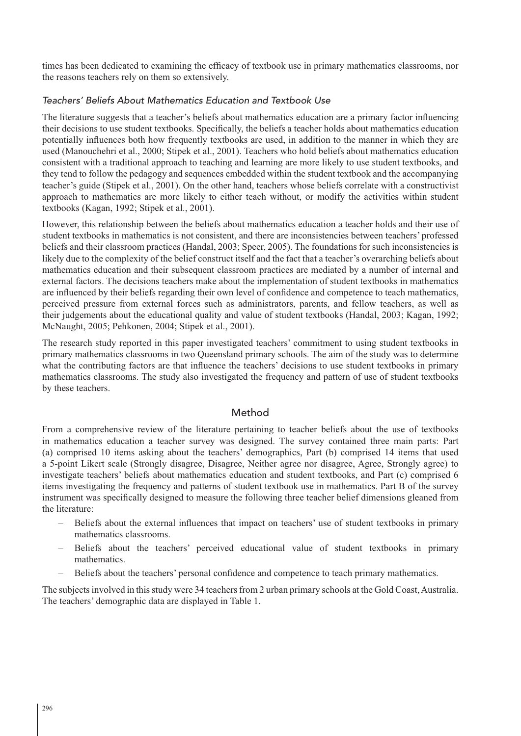times has been dedicated to examining the efficacy of textbook use in primary mathematics classrooms, nor the reasons teachers rely on them so extensively.

### Teachers' Beliefs About Mathematics Education and Textbook Use

The literature suggests that a teacher's beliefs about mathematics education are a primary factor influencing their decisions to use student textbooks. Specifically, the beliefs a teacher holds about mathematics education potentially influences both how frequently textbooks are used, in addition to the manner in which they are used (Manouchehri et al., 2000; Stipek et al., 2001). Teachers who hold beliefs about mathematics education consistent with a traditional approach to teaching and learning are more likely to use student textbooks, and they tend to follow the pedagogy and sequences embedded within the student textbook and the accompanying teacher's guide (Stipek et al., 2001). On the other hand, teachers whose beliefs correlate with a constructivist approach to mathematics are more likely to either teach without, or modify the activities within student textbooks (Kagan, 1992; Stipek et al., 2001).

However, this relationship between the beliefs about mathematics education a teacher holds and their use of student textbooks in mathematics is not consistent, and there are inconsistencies between teachers' professed beliefs and their classroom practices (Handal, 2003; Speer, 2005). The foundations for such inconsistencies is likely due to the complexity of the belief construct itself and the fact that a teacher's overarching beliefs about mathematics education and their subsequent classroom practices are mediated by a number of internal and external factors. The decisions teachers make about the implementation of student textbooks in mathematics are influenced by their beliefs regarding their own level of confidence and competence to teach mathematics, perceived pressure from external forces such as administrators, parents, and fellow teachers, as well as their judgements about the educational quality and value of student textbooks (Handal, 2003; Kagan, 1992; McNaught, 2005; Pehkonen, 2004; Stipek et al., 2001).

The research study reported in this paper investigated teachers' commitment to using student textbooks in primary mathematics classrooms in two Queensland primary schools. The aim of the study was to determine what the contributing factors are that influence the teachers' decisions to use student textbooks in primary mathematics classrooms. The study also investigated the frequency and pattern of use of student textbooks by these teachers.

#### Method

From a comprehensive review of the literature pertaining to teacher beliefs about the use of textbooks in mathematics education a teacher survey was designed. The survey contained three main parts: Part (a) comprised 10 items asking about the teachers' demographics, Part (b) comprised 14 items that used a 5-point Likert scale (Strongly disagree, Disagree, Neither agree nor disagree, Agree, Strongly agree) to investigate teachers' beliefs about mathematics education and student textbooks, and Part (c) comprised 6 items investigating the frequency and patterns of student textbook use in mathematics. Part B of the survey instrument was specifically designed to measure the following three teacher belief dimensions gleaned from the literature:

- Beliefs about the external influences that impact on teachers' use of student textbooks in primary mathematics classrooms.
- Beliefs about the teachers' perceived educational value of student textbooks in primary mathematics.
- Beliefs about the teachers' personal confidence and competence to teach primary mathematics.

The subjects involved in this study were 34 teachers from 2 urban primary schools at the Gold Coast, Australia. The teachers' demographic data are displayed in Table 1.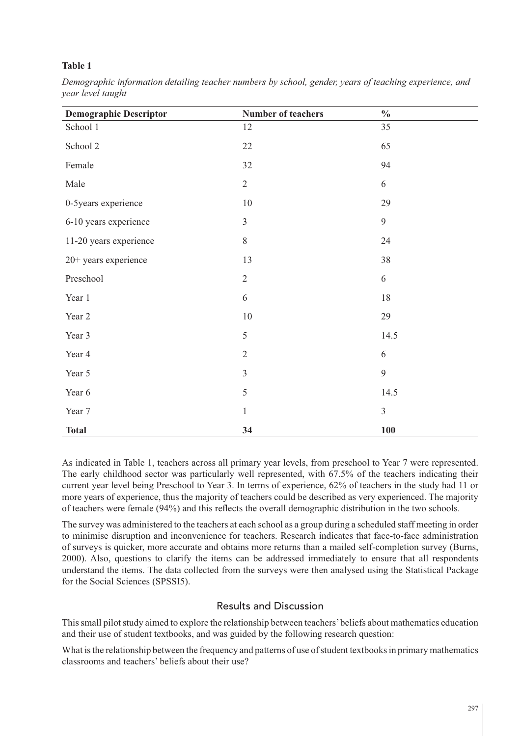| <b>Demographic Descriptor</b> | <b>Number of teachers</b> | $\frac{0}{0}$  |
|-------------------------------|---------------------------|----------------|
| School 1                      | 12                        | 35             |
| School 2                      | 22                        | 65             |
| Female                        | 32                        | 94             |
| Male                          | $\sqrt{2}$                | 6              |
| 0-5years experience           | $10\,$                    | 29             |
| 6-10 years experience         | $\mathfrak{Z}$            | 9              |
| 11-20 years experience        | $\,8\,$                   | 24             |
| 20+ years experience          | 13                        | 38             |
| Preschool                     | $\overline{2}$            | 6              |
| Year 1                        | 6                         | $18\,$         |
| Year 2                        | $10\,$                    | 29             |
| Year 3                        | 5                         | 14.5           |
| Year 4                        | $\overline{2}$            | 6              |
| Year 5                        | $\overline{3}$            | 9              |
| Year 6                        | 5                         | 14.5           |
| Year 7                        | $\mathbf{1}$              | $\overline{3}$ |
| <b>Total</b>                  | 34                        | 100            |

*Demographic information detailing teacher numbers by school, gender, years of teaching experience, and year level taught*

As indicated in Table 1, teachers across all primary year levels, from preschool to Year 7 were represented. The early childhood sector was particularly well represented, with 67.5% of the teachers indicating their current year level being Preschool to Year 3. In terms of experience, 62% of teachers in the study had 11 or more years of experience, thus the majority of teachers could be described as very experienced. The majority of teachers were female (94%) and this reflects the overall demographic distribution in the two schools.

The survey was administered to the teachers at each school as a group during a scheduled staff meeting in order to minimise disruption and inconvenience for teachers. Research indicates that face-to-face administration of surveys is quicker, more accurate and obtains more returns than a mailed self-completion survey (Burns, 2000). Also, questions to clarify the items can be addressed immediately to ensure that all respondents understand the items. The data collected from the surveys were then analysed using the Statistical Package for the Social Sciences (SPSSI5).

## Results and Discussion

This small pilot study aimed to explore the relationship between teachers' beliefs about mathematics education and their use of student textbooks, and was guided by the following research question:

What is the relationship between the frequency and patterns of use of student textbooks in primary mathematics classrooms and teachers' beliefs about their use?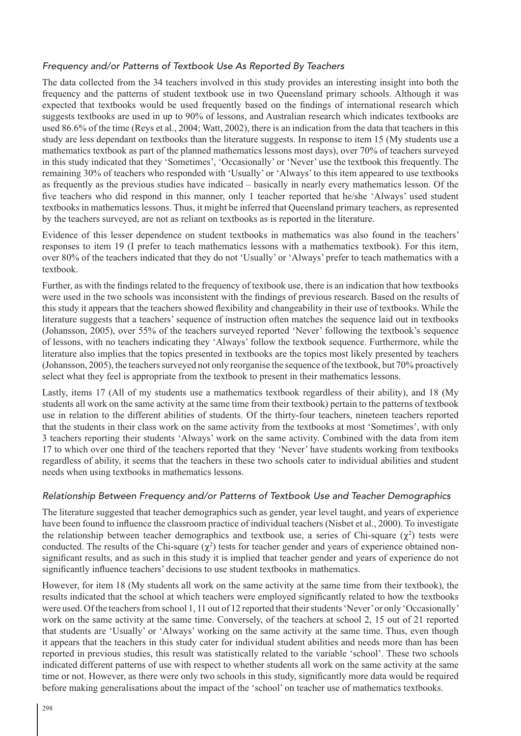#### Frequency and/or Patterns of Textbook Use As Reported By Teachers

The data collected from the 34 teachers involved in this study provides an interesting insight into both the frequency and the patterns of student textbook use in two Queensland primary schools. Although it was expected that textbooks would be used frequently based on the findings of international research which suggests textbooks are used in up to 90% of lessons, and Australian research which indicates textbooks are used 86.6% of the time (Reys et al., 2004; Watt, 2002), there is an indication from the data that teachers in this study are less dependant on textbooks than the literature suggests. In response to item 15 (My students use a mathematics textbook as part of the planned mathematics lessons most days), over 70% of teachers surveyed in this study indicated that they 'Sometimes', 'Occasionally' or 'Never' use the textbook this frequently. The remaining 30% of teachers who responded with 'Usually' or 'Always' to this item appeared to use textbooks as frequently as the previous studies have indicated – basically in nearly every mathematics lesson. Of the five teachers who did respond in this manner, only 1 teacher reported that he/she 'Always' used student textbooks in mathematics lessons. Thus, it might be inferred that Queensland primary teachers, as represented by the teachers surveyed, are not as reliant on textbooks as is reported in the literature.

Evidence of this lesser dependence on student textbooks in mathematics was also found in the teachers' responses to item 19 (I prefer to teach mathematics lessons with a mathematics textbook). For this item, over 80% of the teachers indicated that they do not 'Usually' or 'Always' prefer to teach mathematics with a textbook.

Further, as with the findings related to the frequency of textbook use, there is an indication that how textbooks were used in the two schools was inconsistent with the findings of previous research. Based on the results of this study it appears that the teachers showed flexibility and changeability in their use of textbooks. While the literature suggests that a teachers' sequence of instruction often matches the sequence laid out in textbooks (Johansson, 2005), over 55% of the teachers surveyed reported 'Never' following the textbook's sequence of lessons, with no teachers indicating they 'Always' follow the textbook sequence. Furthermore, while the literature also implies that the topics presented in textbooks are the topics most likely presented by teachers (Johansson, 2005), the teachers surveyed not only reorganise the sequence of the textbook, but 70% proactively select what they feel is appropriate from the textbook to present in their mathematics lessons.

Lastly, items 17 (All of my students use a mathematics textbook regardless of their ability), and 18 (My students all work on the same activity at the same time from their textbook) pertain to the patterns of textbook use in relation to the different abilities of students. Of the thirty-four teachers, nineteen teachers reported that the students in their class work on the same activity from the textbooks at most 'Sometimes', with only 3 teachers reporting their students 'Always' work on the same activity. Combined with the data from item 17 to which over one third of the teachers reported that they 'Never' have students working from textbooks regardless of ability, it seems that the teachers in these two schools cater to individual abilities and student needs when using textbooks in mathematics lessons.

#### Relationship Between Frequency and/or Patterns of Textbook Use and Teacher Demographics

The literature suggested that teacher demographics such as gender, year level taught, and years of experience have been found to influence the classroom practice of individual teachers (Nisbet et al., 2000). To investigate the relationship between teacher demographics and textbook use, a series of Chi-square  $(\chi^2)$  tests were conducted. The results of the Chi-square  $(\chi^2)$  tests for teacher gender and years of experience obtained nonsignificant results, and as such in this study it is implied that teacher gender and years of experience do not significantly influence teachers' decisions to use student textbooks in mathematics.

However, for item 18 (My students all work on the same activity at the same time from their textbook), the results indicated that the school at which teachers were employed significantly related to how the textbooks were used. Of the teachers from school 1, 11 out of 12 reported that their students 'Never' or only 'Occasionally' work on the same activity at the same time. Conversely, of the teachers at school 2, 15 out of 21 reported that students are 'Usually' or 'Always' working on the same activity at the same time. Thus, even though it appears that the teachers in this study cater for individual student abilities and needs more than has been reported in previous studies, this result was statistically related to the variable 'school'. These two schools indicated different patterns of use with respect to whether students all work on the same activity at the same time or not. However, as there were only two schools in this study, significantly more data would be required before making generalisations about the impact of the 'school' on teacher use of mathematics textbooks.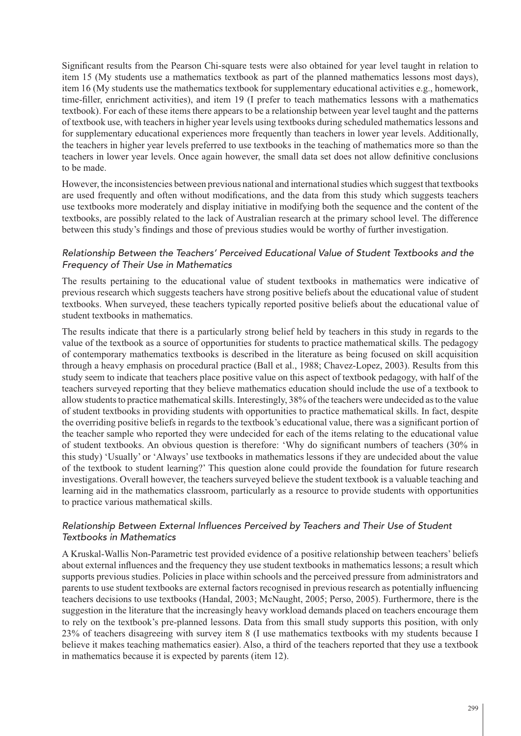Significant results from the Pearson Chi-square tests were also obtained for year level taught in relation to item 15 (My students use a mathematics textbook as part of the planned mathematics lessons most days), item 16 (My students use the mathematics textbook for supplementary educational activities e.g., homework, time-filler, enrichment activities), and item 19 (I prefer to teach mathematics lessons with a mathematics textbook). For each of these items there appears to be a relationship between year level taught and the patterns of textbook use, with teachers in higher year levels using textbooks during scheduled mathematics lessons and for supplementary educational experiences more frequently than teachers in lower year levels. Additionally, the teachers in higher year levels preferred to use textbooks in the teaching of mathematics more so than the teachers in lower year levels. Once again however, the small data set does not allow definitive conclusions to be made.

However, the inconsistencies between previous national and international studies which suggest that textbooks are used frequently and often without modifications, and the data from this study which suggests teachers use textbooks more moderately and display initiative in modifying both the sequence and the content of the textbooks, are possibly related to the lack of Australian research at the primary school level. The difference between this study's findings and those of previous studies would be worthy of further investigation.

#### Relationship Between the Teachers' Perceived Educational Value of Student Textbooks and the Frequency of Their Use in Mathematics

The results pertaining to the educational value of student textbooks in mathematics were indicative of previous research which suggests teachers have strong positive beliefs about the educational value of student textbooks. When surveyed, these teachers typically reported positive beliefs about the educational value of student textbooks in mathematics.

The results indicate that there is a particularly strong belief held by teachers in this study in regards to the value of the textbook as a source of opportunities for students to practice mathematical skills. The pedagogy of contemporary mathematics textbooks is described in the literature as being focused on skill acquisition through a heavy emphasis on procedural practice (Ball et al., 1988; Chavez-Lopez, 2003). Results from this study seem to indicate that teachers place positive value on this aspect of textbook pedagogy, with half of the teachers surveyed reporting that they believe mathematics education should include the use of a textbook to allow students to practice mathematical skills. Interestingly, 38% of the teachers were undecided as to the value of student textbooks in providing students with opportunities to practice mathematical skills. In fact, despite the overriding positive beliefs in regards to the textbook's educational value, there was a significant portion of the teacher sample who reported they were undecided for each of the items relating to the educational value of student textbooks. An obvious question is therefore: 'Why do significant numbers of teachers (30% in this study) 'Usually' or 'Always' use textbooks in mathematics lessons if they are undecided about the value of the textbook to student learning?' This question alone could provide the foundation for future research investigations. Overall however, the teachers surveyed believe the student textbook is a valuable teaching and learning aid in the mathematics classroom, particularly as a resource to provide students with opportunities to practice various mathematical skills.

#### Relationship Between External Influences Perceived by Teachers and Their Use of Student Textbooks in Mathematics

A Kruskal-Wallis Non-Parametric test provided evidence of a positive relationship between teachers' beliefs about external influences and the frequency they use student textbooks in mathematics lessons; a result which supports previous studies. Policies in place within schools and the perceived pressure from administrators and parents to use student textbooks are external factors recognised in previous research as potentially influencing teachers decisions to use textbooks (Handal, 2003; McNaught, 2005; Perso, 2005). Furthermore, there is the suggestion in the literature that the increasingly heavy workload demands placed on teachers encourage them to rely on the textbook's pre-planned lessons. Data from this small study supports this position, with only 23% of teachers disagreeing with survey item 8 (I use mathematics textbooks with my students because I believe it makes teaching mathematics easier). Also, a third of the teachers reported that they use a textbook in mathematics because it is expected by parents (item 12).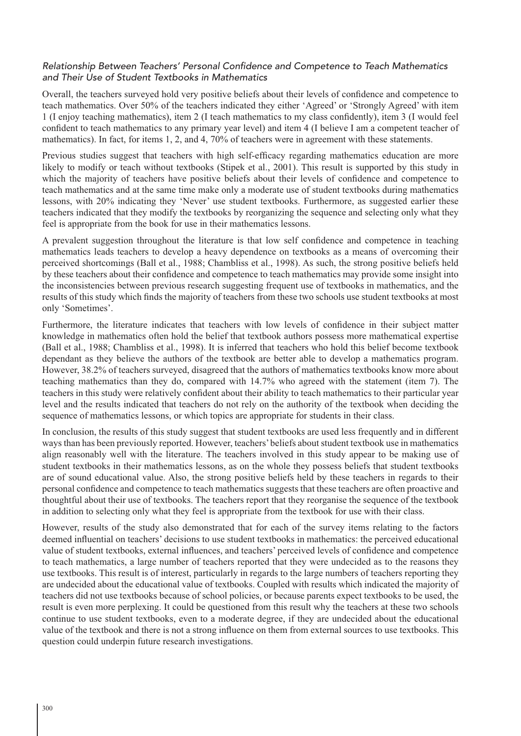#### Relationship Between Teachers' Personal Confidence and Competence to Teach Mathematics and Their Use of Student Textbooks in Mathematics

Overall, the teachers surveyed hold very positive beliefs about their levels of confidence and competence to teach mathematics. Over 50% of the teachers indicated they either 'Agreed' or 'Strongly Agreed' with item 1 (I enjoy teaching mathematics), item 2 (I teach mathematics to my class confidently), item 3 (I would feel confident to teach mathematics to any primary year level) and item 4 (I believe I am a competent teacher of mathematics). In fact, for items 1, 2, and 4, 70% of teachers were in agreement with these statements.

Previous studies suggest that teachers with high self-efficacy regarding mathematics education are more likely to modify or teach without textbooks (Stipek et al., 2001). This result is supported by this study in which the majority of teachers have positive beliefs about their levels of confidence and competence to teach mathematics and at the same time make only a moderate use of student textbooks during mathematics lessons, with 20% indicating they 'Never' use student textbooks. Furthermore, as suggested earlier these teachers indicated that they modify the textbooks by reorganizing the sequence and selecting only what they feel is appropriate from the book for use in their mathematics lessons.

A prevalent suggestion throughout the literature is that low self confidence and competence in teaching mathematics leads teachers to develop a heavy dependence on textbooks as a means of overcoming their perceived shortcomings (Ball et al., 1988; Chambliss et al., 1998). As such, the strong positive beliefs held by these teachers about their confidence and competence to teach mathematics may provide some insight into the inconsistencies between previous research suggesting frequent use of textbooks in mathematics, and the results of this study which finds the majority of teachers from these two schools use student textbooks at most only 'Sometimes'.

Furthermore, the literature indicates that teachers with low levels of confidence in their subject matter knowledge in mathematics often hold the belief that textbook authors possess more mathematical expertise (Ball et al., 1988; Chambliss et al., 1998). It is inferred that teachers who hold this belief become textbook dependant as they believe the authors of the textbook are better able to develop a mathematics program. However, 38.2% of teachers surveyed, disagreed that the authors of mathematics textbooks know more about teaching mathematics than they do, compared with 14.7% who agreed with the statement (item 7). The teachers in this study were relatively confident about their ability to teach mathematics to their particular year level and the results indicated that teachers do not rely on the authority of the textbook when deciding the sequence of mathematics lessons, or which topics are appropriate for students in their class.

In conclusion, the results of this study suggest that student textbooks are used less frequently and in different ways than has been previously reported. However, teachers' beliefs about student textbook use in mathematics align reasonably well with the literature. The teachers involved in this study appear to be making use of student textbooks in their mathematics lessons, as on the whole they possess beliefs that student textbooks are of sound educational value. Also, the strong positive beliefs held by these teachers in regards to their personal confidence and competence to teach mathematics suggests that these teachers are often proactive and thoughtful about their use of textbooks. The teachers report that they reorganise the sequence of the textbook in addition to selecting only what they feel is appropriate from the textbook for use with their class.

However, results of the study also demonstrated that for each of the survey items relating to the factors deemed influential on teachers' decisions to use student textbooks in mathematics: the perceived educational value of student textbooks, external influences, and teachers' perceived levels of confidence and competence to teach mathematics, a large number of teachers reported that they were undecided as to the reasons they use textbooks. This result is of interest, particularly in regards to the large numbers of teachers reporting they are undecided about the educational value of textbooks. Coupled with results which indicated the majority of teachers did not use textbooks because of school policies, or because parents expect textbooks to be used, the result is even more perplexing. It could be questioned from this result why the teachers at these two schools continue to use student textbooks, even to a moderate degree, if they are undecided about the educational value of the textbook and there is not a strong influence on them from external sources to use textbooks. This question could underpin future research investigations.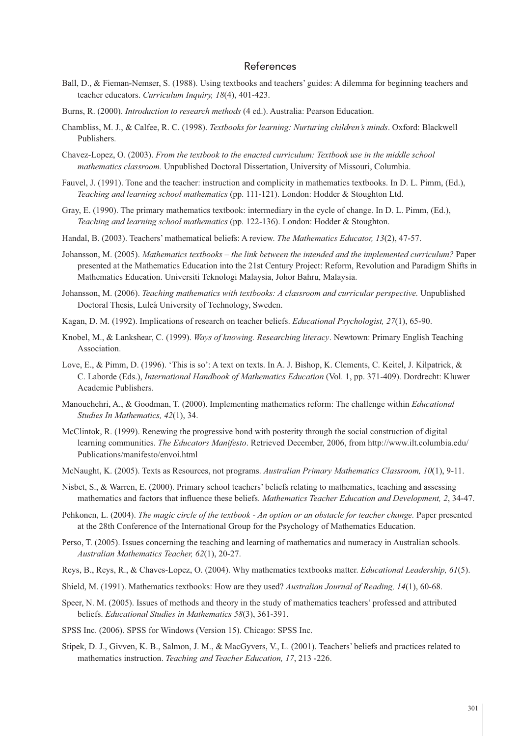#### References

- Ball, D., & Fieman-Nemser, S. (1988). Using textbooks and teachers' guides: A dilemma for beginning teachers and teacher educators. *Curriculum Inquiry, 18*(4), 401-423.
- Burns, R. (2000). *Introduction to research methods* (4 ed.). Australia: Pearson Education.
- Chambliss, M. J., & Calfee, R. C. (1998). *Textbooks for learning: Nurturing children's minds*. Oxford: Blackwell Publishers.
- Chavez-Lopez, O. (2003). *From the textbook to the enacted curriculum: Textbook use in the middle school mathematics classroom.* Unpublished Doctoral Dissertation, University of Missouri, Columbia.
- Fauvel, J. (1991). Tone and the teacher: instruction and complicity in mathematics textbooks. In D. L. Pimm, (Ed.), *Teaching and learning school mathematics* (pp. 111-121). London: Hodder & Stoughton Ltd.
- Gray, E. (1990). The primary mathematics textbook: intermediary in the cycle of change. In D. L. Pimm, (Ed.), *Teaching and learning school mathematics* (pp. 122-136). London: Hodder & Stoughton.
- Handal, B. (2003). Teachers' mathematical beliefs: A review. *The Mathematics Educator, 13*(2), 47-57.
- Johansson, M. (2005). *Mathematics textbooks the link between the intended and the implemented curriculum?* Paper presented at the Mathematics Education into the 21st Century Project: Reform, Revolution and Paradigm Shifts in Mathematics Education. Universiti Teknologi Malaysia, Johor Bahru, Malaysia.
- Johansson, M. (2006). *Teaching mathematics with textbooks: A classroom and curricular perspective.* Unpublished Doctoral Thesis, Luleå University of Technology, Sweden.
- Kagan, D. M. (1992). Implications of research on teacher beliefs. *Educational Psychologist, 27*(1), 65-90.
- Knobel, M., & Lankshear, C. (1999). *Ways of knowing. Researching literacy*. Newtown: Primary English Teaching Association.
- Love, E., & Pimm, D. (1996). 'This is so': A text on texts. In A. J. Bishop, K. Clements, C. Keitel, J. Kilpatrick, & C. Laborde (Eds.), *International Handbook of Mathematics Education* (Vol. 1, pp. 371-409). Dordrecht: Kluwer Academic Publishers.
- Manouchehri, A., & Goodman, T. (2000). Implementing mathematics reform: The challenge within *Educational Studies In Mathematics, 42*(1), 34.
- McClintok, R. (1999). Renewing the progressive bond with posterity through the social construction of digital learning communities. *The Educators Manifesto*. Retrieved December, 2006, from http://www.ilt.columbia.edu/ Publications/manifesto/envoi.html
- McNaught, K. (2005). Texts as Resources, not programs. *Australian Primary Mathematics Classroom, 10*(1), 9-11.
- Nisbet, S., & Warren, E. (2000). Primary school teachers' beliefs relating to mathematics, teaching and assessing mathematics and factors that influence these beliefs. *Mathematics Teacher Education and Development, 2*, 34-47.
- Pehkonen, L. (2004). *The magic circle of the textbook An option or an obstacle for teacher change.* Paper presented at the 28th Conference of the International Group for the Psychology of Mathematics Education.
- Perso, T. (2005). Issues concerning the teaching and learning of mathematics and numeracy in Australian schools. *Australian Mathematics Teacher, 62*(1), 20-27.
- Reys, B., Reys, R., & Chaves-Lopez, O. (2004). Why mathematics textbooks matter. *Educational Leadership, 61*(5).
- Shield, M. (1991). Mathematics textbooks: How are they used? *Australian Journal of Reading, 14*(1), 60-68.
- Speer, N. M. (2005). Issues of methods and theory in the study of mathematics teachers' professed and attributed beliefs. *Educational Studies in Mathematics 58*(3), 361-391.
- SPSS Inc. (2006). SPSS for Windows (Version 15). Chicago: SPSS Inc.
- Stipek, D. J., Givven, K. B., Salmon, J. M., & MacGyvers, V., L. (2001). Teachers' beliefs and practices related to mathematics instruction. *Teaching and Teacher Education, 17*, 213 -226.